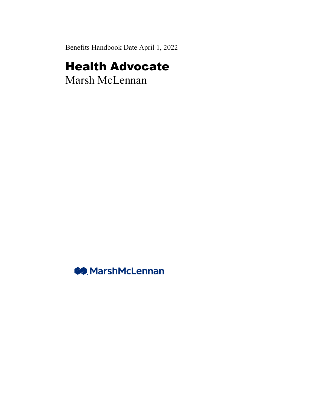Benefits Handbook Date April 1, 2022

# Health Advocate

Marsh McLennan

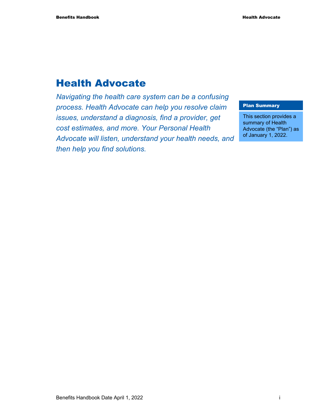## Health Advocate

*Navigating the health care system can be a confusing process. Health Advocate can help you resolve claim issues, understand a diagnosis, find a provider, get cost estimates, and more. Your Personal Health Advocate will listen, understand your health needs, and then help you find solutions.* 

#### Plan Summary

This section provides a summary of Health Advocate (the "Plan") as of January 1, 2022.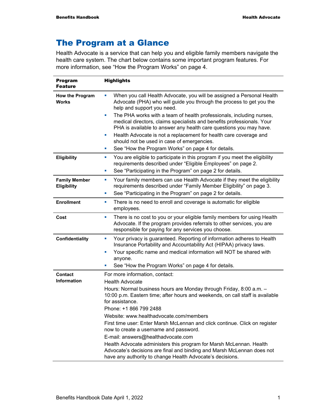## The Program at a Glance

Health Advocate is a service that can help you and eligible family members navigate the health care system. The chart below contains some important program features. For more information, see "How the Program Works" on page 4.

| <b>Program</b><br><b>Feature</b>    | <b>Highlights</b>                                                                                                                                                                                                             |
|-------------------------------------|-------------------------------------------------------------------------------------------------------------------------------------------------------------------------------------------------------------------------------|
| How the Program<br><b>Works</b>     | When you call Health Advocate, you will be assigned a Personal Health<br>Advocate (PHA) who will guide you through the process to get you the<br>help and support you need.                                                   |
|                                     | The PHA works with a team of health professionals, including nurses,<br>ш<br>medical directors, claims specialists and benefits professionals. Your<br>PHA is available to answer any health care questions you may have.     |
|                                     | Health Advocate is not a replacement for health care coverage and<br>ш<br>should not be used in case of emergencies.                                                                                                          |
|                                     | See "How the Program Works" on page 4 for details.<br>ш                                                                                                                                                                       |
| Eligibility                         | You are eligible to participate in this program if you meet the eligibility<br>ш<br>requirements described under "Eligible Employees" on page 2.                                                                              |
|                                     | See "Participating in the Program" on page 2 for details.<br>ш                                                                                                                                                                |
| <b>Family Member</b><br>Eligibility | Your family members can use Health Advocate if they meet the eligibility<br>ш<br>requirements described under "Family Member Eligibility" on page 3.<br>See "Participating in the Program" on page 2 for details.<br>ш        |
|                                     |                                                                                                                                                                                                                               |
| <b>Enrollment</b>                   | There is no need to enroll and coverage is automatic for eligible<br>ш<br>employees.                                                                                                                                          |
| Cost                                | There is no cost to you or your eligible family members for using Health<br>ш<br>Advocate. If the program provides referrals to other services, you are<br>responsible for paying for any services you choose.                |
| <b>Confidentiality</b>              | Your privacy is guaranteed. Reporting of information adheres to Health<br>ш<br>Insurance Portability and Accountability Act (HIPAA) privacy laws.<br>Your specific name and medical information will NOT be shared with<br>u. |
|                                     | anyone.                                                                                                                                                                                                                       |
|                                     | See "How the Program Works" on page 4 for details.                                                                                                                                                                            |
| Contact                             | For more information, contact:                                                                                                                                                                                                |
| <b>Information</b>                  | <b>Health Advocate</b>                                                                                                                                                                                                        |
|                                     | Hours: Normal business hours are Monday through Friday, 8:00 a.m. -                                                                                                                                                           |
|                                     | 10:00 p.m. Eastern time; after hours and weekends, on call staff is available                                                                                                                                                 |
|                                     | for assistance.<br>Phone: +1 866 799 2488                                                                                                                                                                                     |
|                                     | Website: www.healthadvocate.com/members                                                                                                                                                                                       |
|                                     | First time user: Enter Marsh McLennan and click continue. Click on register                                                                                                                                                   |
|                                     | now to create a username and password.                                                                                                                                                                                        |
|                                     | E-mail: answers@healthadvocate.com                                                                                                                                                                                            |
|                                     | Health Advocate administers this program for Marsh McLennan. Health<br>Advocate's decisions are final and binding and Marsh McLennan does not<br>have any authority to change Health Advocate's decisions.                    |

Benefits Handbook Date April 1, 2022 1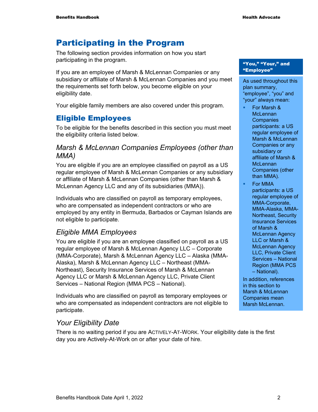## Participating in the Program

The following section provides information on how you start participating in the program.

If you are an employee of Marsh & McLennan Companies or any subsidiary or affiliate of Marsh & McLennan Companies and you meet the requirements set forth below, you become eligible on your eligibility date.

Your eligible family members are also covered under this program.

#### Eligible Employees

To be eligible for the benefits described in this section you must meet the eligibility criteria listed below.

#### *Marsh & McLennan Companies Employees (other than MMA)*

You are eligible if you are an employee classified on payroll as a US regular employee of Marsh & McLennan Companies or any subsidiary or affiliate of Marsh & McLennan Companies (other than Marsh & McLennan Agency LLC and any of its subsidiaries (MMA)).

Individuals who are classified on payroll as temporary employees, who are compensated as independent contractors or who are employed by any entity in Bermuda, Barbados or Cayman Islands are not eligible to participate.

#### *Eligible MMA Employees*

You are eligible if you are an employee classified on payroll as a US regular employee of Marsh & McLennan Agency LLC – Corporate (MMA-Corporate), Marsh & McLennan Agency LLC – Alaska (MMA-Alaska), Marsh & McLennan Agency LLC – Northeast (MMA-Northeast), Security Insurance Services of Marsh & McLennan Agency LLC or Marsh & McLennan Agency LLC, Private Client Services – National Region (MMA PCS – National).

Individuals who are classified on payroll as temporary employees or who are compensated as independent contractors are not eligible to participate.

#### *Your Eligibility Date*

There is no waiting period if you are ACTIVELY-AT-WORK. Your eligibility date is the first day you are Actively-At-Work on or after your date of hire.

#### "You," "Your," and "Employee"

As used throughout this plan summary, "employee", "you" and "your" always mean:

- For Marsh & **McLennan Companies** participants: a US regular employee of Marsh & McLennan Companies or any subsidiary or affiliate of Marsh & **McLennan** Companies (other than MMA).
- For MMA participants: a US regular employee of MMA-Corporate, MMA-Alaska, MMA-Northeast, Security Insurance Services of Marsh & McLennan Agency LLC or Marsh & McLennan Agency LLC, Private Client Services – National Region (MMA PCS – National).

In addition, references in this section to Marsh & McLennan Companies mean Marsh McLennan.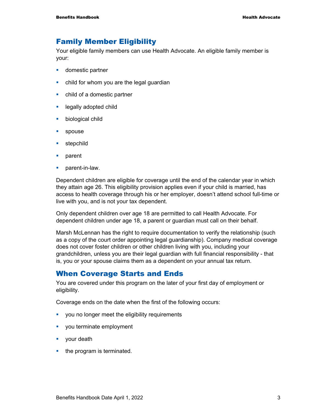#### Family Member Eligibility

Your eligible family members can use Health Advocate. An eligible family member is your:

- **domestic partner**
- child for whom you are the legal guardian
- child of a domestic partner
- **Example 2** legally adopted child
- **biological child**
- **spouse**
- **stepchild**
- **parent**
- parent-in-law.

Dependent children are eligible for coverage until the end of the calendar year in which they attain age 26. This eligibility provision applies even if your child is married, has access to health coverage through his or her employer, doesn't attend school full-time or live with you, and is not your tax dependent.

Only dependent children over age 18 are permitted to call Health Advocate. For dependent children under age 18, a parent or guardian must call on their behalf.

Marsh McLennan has the right to require documentation to verify the relationship (such as a copy of the court order appointing legal guardianship). Company medical coverage does not cover foster children or other children living with you, including your grandchildren, unless you are their legal guardian with full financial responsibility - that is, you or your spouse claims them as a dependent on your annual tax return.

#### When Coverage Starts and Ends

You are covered under this program on the later of your first day of employment or eligibility.

Coverage ends on the date when the first of the following occurs:

- **•** you no longer meet the eligibility requirements
- vou terminate employment
- **vour death**
- $\blacksquare$  the program is terminated.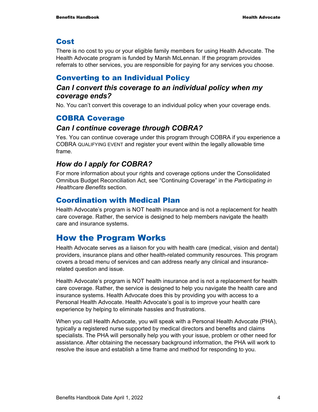#### Cost

There is no cost to you or your eligible family members for using Health Advocate. The Health Advocate program is funded by Marsh McLennan. If the program provides referrals to other services, you are responsible for paying for any services you choose.

#### Converting to an Individual Policy

#### *Can I convert this coverage to an individual policy when my coverage ends?*

No. You can't convert this coverage to an individual policy when your coverage ends.

### COBRA Coverage

#### *Can I continue coverage through COBRA?*

Yes. You can continue coverage under this program through COBRA if you experience a COBRA QUALIFYING EVENT and register your event within the legally allowable time frame.

#### *How do I apply for COBRA?*

For more information about your rights and coverage options under the Consolidated Omnibus Budget Reconciliation Act, see "Continuing Coverage" in the *Participating in Healthcare Benefits* section.

#### Coordination with Medical Plan

Health Advocate's program is NOT health insurance and is not a replacement for health care coverage. Rather, the service is designed to help members navigate the health care and insurance systems.

## How the Program Works

Health Advocate serves as a liaison for you with health care (medical, vision and dental) providers, insurance plans and other health-related community resources. This program covers a broad menu of services and can address nearly any clinical and insurancerelated question and issue.

Health Advocate's program is NOT health insurance and is not a replacement for health care coverage. Rather, the service is designed to help you navigate the health care and insurance systems. Health Advocate does this by providing you with access to a Personal Health Advocate. Health Advocate's goal is to improve your health care experience by helping to eliminate hassles and frustrations.

When you call Health Advocate, you will speak with a Personal Health Advocate (PHA), typically a registered nurse supported by medical directors and benefits and claims specialists. The PHA will personally help you with your issue, problem or other need for assistance. After obtaining the necessary background information, the PHA will work to resolve the issue and establish a time frame and method for responding to you.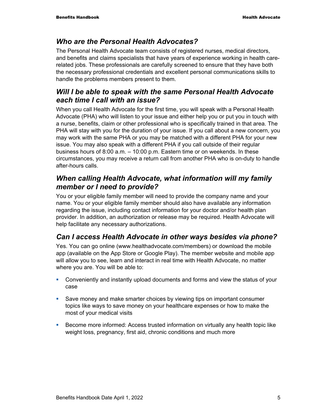#### *Who are the Personal Health Advocates?*

The Personal Health Advocate team consists of registered nurses, medical directors, and benefits and claims specialists that have years of experience working in health carerelated jobs. These professionals are carefully screened to ensure that they have both the necessary professional credentials and excellent personal communications skills to handle the problems members present to them.

#### *Will I be able to speak with the same Personal Health Advocate each time I call with an issue?*

When you call Health Advocate for the first time, you will speak with a Personal Health Advocate (PHA) who will listen to your issue and either help you or put you in touch with a nurse, benefits, claim or other professional who is specifically trained in that area. The PHA will stay with you for the duration of your issue. If you call about a new concern, you may work with the same PHA or you may be matched with a different PHA for your new issue. You may also speak with a different PHA if you call outside of their regular business hours of 8:00 a.m. – 10:00 p.m. Eastern time or on weekends. In these circumstances, you may receive a return call from another PHA who is on-duty to handle after-hours calls.

#### *When calling Health Advocate, what information will my family member or I need to provide?*

You or your eligible family member will need to provide the company name and your name. You or your eligible family member should also have available any information regarding the issue, including contact information for your doctor and/or health plan provider. In addition, an authorization or release may be required. Health Advocate will help facilitate any necessary authorizations.

#### *Can I access Health Advocate in other ways besides via phone?*

Yes. You can go online (www.healthadvocate.com/members) or download the mobile app (available on the App Store or Google Play). The member website and mobile app will allow you to see, learn and interact in real time with Health Advocate, no matter where you are. You will be able to:

- Conveniently and instantly upload documents and forms and view the status of your case
- Save money and make smarter choices by viewing tips on important consumer topics like ways to save money on your healthcare expenses or how to make the most of your medical visits
- Become more informed: Access trusted information on virtually any health topic like weight loss, pregnancy, first aid, chronic conditions and much more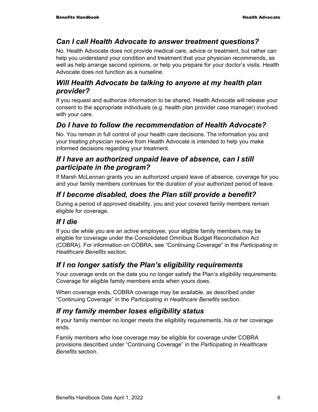#### *Can I call Health Advocate to answer treatment questions?*

No. Health Advocate does not provide medical care, advice or treatment, but rather can help you understand your condition and treatment that your physician recommends, as well as help arrange second opinions, or help you prepare for your doctor's visits. Health Advocate does not function as a nurseline.

#### *Will Health Advocate be talking to anyone at my health plan provider?*

If you request and authorize information to be shared, Health Advocate will release your consent to the appropriate individuals (e.g. health plan provider case manager) involved with your care.

### *Do I have to follow the recommendation of Health Advocate?*

No. You remain in full control of your health care decisions. The information you and your treating physician receive from Health Advocate is intended to help you make informed decisions regarding your treatment.

#### *If I have an authorized unpaid leave of absence, can I still participate in the program?*

If Marsh McLennan grants you an authorized unpaid leave of absence, coverage for you and your family members continues for the duration of your authorized period of leave.

### *If I become disabled, does the Plan still provide a benefit?*

During a period of approved disability, you and your covered family members remain eligible for coverage.

### *If I die*

If you die while you are an active employee, your eligible family members may be eligible for coverage under the Consolidated Omnibus Budget Reconciliation Act (COBRA). For information on COBRA, see "Continuing Coverage" in the *Participating in Healthcare Benefits* section.

### *If I no longer satisfy the Plan's eligibility requirements*

Your coverage ends on the date you no longer satisfy the Plan's eligibility requirements. Coverage for eligible family members ends when yours does.

When coverage ends, COBRA coverage may be available, as described under "Continuing Coverage" in the *Participating in Healthcare Benefits* section.

### *If my family member loses eligibility status*

If your family member no longer meets the eligibility requirements, his or her coverage ends.

Family members who lose coverage may be eligible for coverage under COBRA provisions described under "Continuing Coverage" in the *Participating in Healthcare Benefits* section.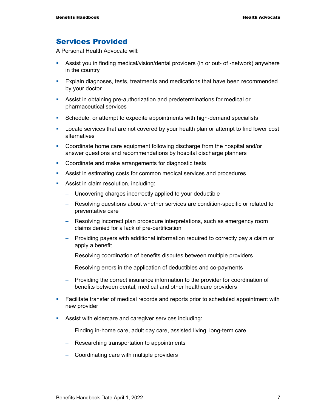#### Services Provided

A Personal Health Advocate will:

- Assist you in finding medical/vision/dental providers (in or out- of -network) anywhere in the country
- Explain diagnoses, tests, treatments and medications that have been recommended by your doctor
- Assist in obtaining pre-authorization and predeterminations for medical or pharmaceutical services
- Schedule, or attempt to expedite appointments with high-demand specialists
- **Locate services that are not covered by your health plan or attempt to find lower cost** alternatives
- Coordinate home care equipment following discharge from the hospital and/or answer questions and recommendations by hospital discharge planners
- **Coordinate and make arrangements for diagnostic tests**
- Assist in estimating costs for common medical services and procedures
- **Assist in claim resolution, including:** 
	- − Uncovering charges incorrectly applied to your deductible
	- − Resolving questions about whether services are condition-specific or related to preventative care
	- − Resolving incorrect plan procedure interpretations, such as emergency room claims denied for a lack of pre-certification
	- − Providing payers with additional information required to correctly pay a claim or apply a benefit
	- − Resolving coordination of benefits disputes between multiple providers
	- − Resolving errors in the application of deductibles and co-payments
	- − Providing the correct insurance information to the provider for coordination of benefits between dental, medical and other healthcare providers
- Facilitate transfer of medical records and reports prior to scheduled appointment with new provider
- Assist with eldercare and caregiver services including:
	- − Finding in-home care, adult day care, assisted living, long-term care
	- − Researching transportation to appointments
	- − Coordinating care with multiple providers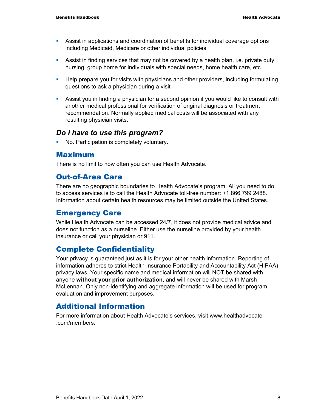- Assist in applications and coordination of benefits for individual coverage options including Medicaid, Medicare or other individual policies
- Assist in finding services that may not be covered by a health plan, i.e. private duty nursing, group home for individuals with special needs, home health care, etc.
- **Help prepare you for visits with physicians and other providers, including formulating** questions to ask a physician during a visit
- Assist you in finding a physician for a second opinion if you would like to consult with another medical professional for verification of original diagnosis or treatment recommendation. Normally applied medical costs will be associated with any resulting physician visits.

#### *Do I have to use this program?*

No. Participation is completely voluntary.

#### Maximum

There is no limit to how often you can use Health Advocate.

#### Out-of-Area Care

There are no geographic boundaries to Health Advocate's program. All you need to do to access services is to call the Health Advocate toll-free number: +1 866 799 2488. Information about certain health resources may be limited outside the United States.

#### Emergency Care

While Health Advocate can be accessed 24/7, it does not provide medical advice and does not function as a nurseline. Either use the nurseline provided by your health insurance or call your physician or 911.

#### Complete Confidentiality

Your privacy is guaranteed just as it is for your other health information. Reporting of information adheres to strict Health Insurance Portability and Accountability Act (HIPAA) privacy laws. Your specific name and medical information will NOT be shared with anyone **without your prior authorization**, and will never be shared with Marsh McLennan. Only non-identifying and aggregate information will be used for program evaluation and improvement purposes.

#### Additional Information

For more information about Health Advocate's services, visit www.healthadvocate .com/members.